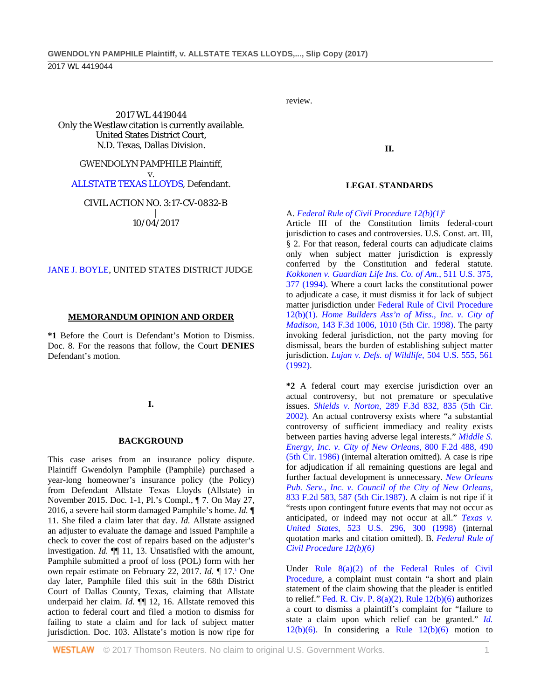2017 WL 4419044 Only the Westlaw citation is currently available. United States District Court, N.D. Texas, Dallas Division.

#### GWENDOLYN PAMPHILE Plaintiff,

v. [ALLSTATE TEXAS LLOYDS,](http://www.westlaw.com/Search/Results.html?query=advanced%3a+OAID(4296763685)&saveJuris=False&contentType=BUSINESS-INVESTIGATOR&startIndex=1&contextData=(sc.Default)&categoryPageUrl=Home%2fCompanyInvestigator&originationContext=document&vr=3.0&rs=cblt1.0&transitionType=DocumentItem) Defendant.

### CIVIL ACTION NO. 3:17-CV-0832-B

| 10/04/2017

### [JANE J. BOYLE,](http://www.westlaw.com/Link/Document/FullText?findType=h&pubNum=176284&cite=0117157001&originatingDoc=I428e60b0aa6711e7a94fe1d3bccdca84&refType=RQ&originationContext=document&vr=3.0&rs=cblt1.0&transitionType=DocumentItem&contextData=(sc.UserEnteredCitation)) UNITED STATES DISTRICT JUDGE

#### **MEMORANDUM OPINION AND ORDER**

**\*1** Before the Court is Defendant's Motion to Dismiss. Doc. 8. For the reasons that follow, the Court **DENIES** Defendant's motion.

### **I.**

#### **BACKGROUND**

This case arises from an insurance policy dispute. Plaintiff Gwendolyn Pamphile (Pamphile) purchased a year-long homeowner's insurance policy (the Policy) from Defendant Allstate Texas Lloyds (Allstate) in November 2015. Doc. 1-1, Pl.'s Compl., ¶ 7. On May 27, 2016, a severe hail storm damaged Pamphile's home. *Id.* ¶ 11. She filed a claim later that day. *Id.* Allstate assigned an adjuster to evaluate the damage and issued Pamphile a check to cover the cost of repairs based on the adjuster's investigation. *Id.* ¶¶ 11, 13. Unsatisfied with the amount, Pamphile submitted a proof of loss (POL) form with her own repair estimate on February 22, 2017. *Id.* ¶ 17.1 One day later, Pamphile filed this suit in the 68th District Court of Dallas County, Texas, claiming that Allstate underpaid her claim. *Id.*  $\P$  12, 16. Allstate removed this action to federal court and filed a motion to dismiss for failing to state a claim and for lack of subject matter jurisdiction. Doc. 103. Allstate's motion is now ripe for

review.

**II.**

#### **LEGAL STANDARDS**

#### A. *[Federal Rule of Civil Procedure 12\(b\)\(1\)](http://www.westlaw.com/Link/Document/FullText?findType=L&pubNum=1000600&cite=USFRCPR12&originatingDoc=I428e60b0aa6711e7a94fe1d3bccdca84&refType=LQ&originationContext=document&vr=3.0&rs=cblt1.0&transitionType=DocumentItem&contextData=(sc.UserEnteredCitation))*<sup>2</sup>

Article III of the Constitution limits federal-court jurisdiction to cases and controversies. U.S. Const. art. III, § 2. For that reason, federal courts can adjudicate claims only when subject matter jurisdiction is expressly conferred by the Constitution and federal statute. *[Kokkonen v. Guardian Life](http://www.westlaw.com/Link/Document/FullText?findType=Y&serNum=1994108368&pubNum=0000780&originatingDoc=I428e60b0aa6711e7a94fe1d3bccdca84&refType=RP&fi=co_pp_sp_780_377&originationContext=document&vr=3.0&rs=cblt1.0&transitionType=DocumentItem&contextData=(sc.UserEnteredCitation)#co_pp_sp_780_377) Ins. Co. of Am.*, 511 U.S. 375, [377 \(1994\).](http://www.westlaw.com/Link/Document/FullText?findType=Y&serNum=1994108368&pubNum=0000780&originatingDoc=I428e60b0aa6711e7a94fe1d3bccdca84&refType=RP&fi=co_pp_sp_780_377&originationContext=document&vr=3.0&rs=cblt1.0&transitionType=DocumentItem&contextData=(sc.UserEnteredCitation)#co_pp_sp_780_377) Where a court lacks the constitutional power to adjudicate a case, it must dismiss it for lack of subject matter jurisdiction under [Federal Rule of Civil Procedure](http://www.westlaw.com/Link/Document/FullText?findType=L&pubNum=1000600&cite=USFRCPR12&originatingDoc=I428e60b0aa6711e7a94fe1d3bccdca84&refType=LQ&originationContext=document&vr=3.0&rs=cblt1.0&transitionType=DocumentItem&contextData=(sc.UserEnteredCitation))  [12\(b\)\(1\).](http://www.westlaw.com/Link/Document/FullText?findType=L&pubNum=1000600&cite=USFRCPR12&originatingDoc=I428e60b0aa6711e7a94fe1d3bccdca84&refType=LQ&originationContext=document&vr=3.0&rs=cblt1.0&transitionType=DocumentItem&contextData=(sc.UserEnteredCitation)) *[Home Builders Ass'n of Miss., Inc. v. City of](http://www.westlaw.com/Link/Document/FullText?findType=Y&serNum=1998127348&pubNum=0000506&originatingDoc=I428e60b0aa6711e7a94fe1d3bccdca84&refType=RP&fi=co_pp_sp_506_1010&originationContext=document&vr=3.0&rs=cblt1.0&transitionType=DocumentItem&contextData=(sc.UserEnteredCitation)#co_pp_sp_506_1010)  Madison*[, 143 F.3d 1006, 1010 \(5th Cir. 1998\).](http://www.westlaw.com/Link/Document/FullText?findType=Y&serNum=1998127348&pubNum=0000506&originatingDoc=I428e60b0aa6711e7a94fe1d3bccdca84&refType=RP&fi=co_pp_sp_506_1010&originationContext=document&vr=3.0&rs=cblt1.0&transitionType=DocumentItem&contextData=(sc.UserEnteredCitation)#co_pp_sp_506_1010) The party invoking federal jurisdiction, not the party moving for dismissal, bears the burden of establishing subject matter jurisdiction. *[Lujan v. Defs. of Wildlife](http://www.westlaw.com/Link/Document/FullText?findType=Y&serNum=1992106162&pubNum=0000780&originatingDoc=I428e60b0aa6711e7a94fe1d3bccdca84&refType=RP&fi=co_pp_sp_780_561&originationContext=document&vr=3.0&rs=cblt1.0&transitionType=DocumentItem&contextData=(sc.UserEnteredCitation)#co_pp_sp_780_561)*, 504 U.S. 555, 561 [\(1992\).](http://www.westlaw.com/Link/Document/FullText?findType=Y&serNum=1992106162&pubNum=0000780&originatingDoc=I428e60b0aa6711e7a94fe1d3bccdca84&refType=RP&fi=co_pp_sp_780_561&originationContext=document&vr=3.0&rs=cblt1.0&transitionType=DocumentItem&contextData=(sc.UserEnteredCitation)#co_pp_sp_780_561)

**\*2** A federal court may exercise jurisdiction over an actual controversy, but not premature or speculative issues. *Shields v. Norton*[, 289 F.3d 832, 835 \(5th Cir.](http://www.westlaw.com/Link/Document/FullText?findType=Y&serNum=2002264682&pubNum=0000506&originatingDoc=I428e60b0aa6711e7a94fe1d3bccdca84&refType=RP&fi=co_pp_sp_506_835&originationContext=document&vr=3.0&rs=cblt1.0&transitionType=DocumentItem&contextData=(sc.UserEnteredCitation)#co_pp_sp_506_835)  [2002\).](http://www.westlaw.com/Link/Document/FullText?findType=Y&serNum=2002264682&pubNum=0000506&originatingDoc=I428e60b0aa6711e7a94fe1d3bccdca84&refType=RP&fi=co_pp_sp_506_835&originationContext=document&vr=3.0&rs=cblt1.0&transitionType=DocumentItem&contextData=(sc.UserEnteredCitation)#co_pp_sp_506_835) An actual controversy exists where "a substantial controversy of sufficient immediacy and reality exists between parties having adverse legal interests." *[Middle S.](http://www.westlaw.com/Link/Document/FullText?findType=Y&serNum=1986147812&pubNum=0000350&originatingDoc=I428e60b0aa6711e7a94fe1d3bccdca84&refType=RP&fi=co_pp_sp_350_490&originationContext=document&vr=3.0&rs=cblt1.0&transitionType=DocumentItem&contextData=(sc.UserEnteredCitation)#co_pp_sp_350_490)  [Energy, Inc. v. City of New Orleans](http://www.westlaw.com/Link/Document/FullText?findType=Y&serNum=1986147812&pubNum=0000350&originatingDoc=I428e60b0aa6711e7a94fe1d3bccdca84&refType=RP&fi=co_pp_sp_350_490&originationContext=document&vr=3.0&rs=cblt1.0&transitionType=DocumentItem&contextData=(sc.UserEnteredCitation)#co_pp_sp_350_490)*, 800 F.2d 488, 490 [\(5th Cir. 1986\)](http://www.westlaw.com/Link/Document/FullText?findType=Y&serNum=1986147812&pubNum=0000350&originatingDoc=I428e60b0aa6711e7a94fe1d3bccdca84&refType=RP&fi=co_pp_sp_350_490&originationContext=document&vr=3.0&rs=cblt1.0&transitionType=DocumentItem&contextData=(sc.UserEnteredCitation)#co_pp_sp_350_490) (internal alteration omitted). A case is ripe for adjudication if all remaining questions are legal and further factual development is unnecessary. *[New Orleans](http://www.westlaw.com/Link/Document/FullText?findType=Y&serNum=1987145598&pubNum=0000350&originatingDoc=I428e60b0aa6711e7a94fe1d3bccdca84&refType=RP&fi=co_pp_sp_350_587&originationContext=document&vr=3.0&rs=cblt1.0&transitionType=DocumentItem&contextData=(sc.UserEnteredCitation)#co_pp_sp_350_587)  [Pub. Serv., Inc. v. Council of the City](http://www.westlaw.com/Link/Document/FullText?findType=Y&serNum=1987145598&pubNum=0000350&originatingDoc=I428e60b0aa6711e7a94fe1d3bccdca84&refType=RP&fi=co_pp_sp_350_587&originationContext=document&vr=3.0&rs=cblt1.0&transitionType=DocumentItem&contextData=(sc.UserEnteredCitation)#co_pp_sp_350_587) of New Orleans*, [833 F.2d 583, 587 \(5th Cir.1987\).](http://www.westlaw.com/Link/Document/FullText?findType=Y&serNum=1987145598&pubNum=0000350&originatingDoc=I428e60b0aa6711e7a94fe1d3bccdca84&refType=RP&fi=co_pp_sp_350_587&originationContext=document&vr=3.0&rs=cblt1.0&transitionType=DocumentItem&contextData=(sc.UserEnteredCitation)#co_pp_sp_350_587) A claim is not ripe if it "rests upon contingent future events that may not occur as anticipated, or indeed may not occur at all." *[Texas v.](http://www.westlaw.com/Link/Document/FullText?findType=Y&serNum=1998079524&pubNum=0000780&originatingDoc=I428e60b0aa6711e7a94fe1d3bccdca84&refType=RP&fi=co_pp_sp_780_300&originationContext=document&vr=3.0&rs=cblt1.0&transitionType=DocumentItem&contextData=(sc.UserEnteredCitation)#co_pp_sp_780_300)  United States*[, 523 U.S. 296, 300 \(1998\)](http://www.westlaw.com/Link/Document/FullText?findType=Y&serNum=1998079524&pubNum=0000780&originatingDoc=I428e60b0aa6711e7a94fe1d3bccdca84&refType=RP&fi=co_pp_sp_780_300&originationContext=document&vr=3.0&rs=cblt1.0&transitionType=DocumentItem&contextData=(sc.UserEnteredCitation)#co_pp_sp_780_300) (internal quotation marks and citation omitted). B. *[Federal Rule of](http://www.westlaw.com/Link/Document/FullText?findType=L&pubNum=1000600&cite=USFRCPR12&originatingDoc=I428e60b0aa6711e7a94fe1d3bccdca84&refType=LQ&originationContext=document&vr=3.0&rs=cblt1.0&transitionType=DocumentItem&contextData=(sc.UserEnteredCitation))  [Civil Procedure 12\(b\)\(6\)](http://www.westlaw.com/Link/Document/FullText?findType=L&pubNum=1000600&cite=USFRCPR12&originatingDoc=I428e60b0aa6711e7a94fe1d3bccdca84&refType=LQ&originationContext=document&vr=3.0&rs=cblt1.0&transitionType=DocumentItem&contextData=(sc.UserEnteredCitation))*

Under [Rule 8\(a\)\(2\) of the Federal Rules of Civil](http://www.westlaw.com/Link/Document/FullText?findType=L&pubNum=1000600&cite=USFRCPR8&originatingDoc=I428e60b0aa6711e7a94fe1d3bccdca84&refType=LQ&originationContext=document&vr=3.0&rs=cblt1.0&transitionType=DocumentItem&contextData=(sc.UserEnteredCitation))  [Procedure,](http://www.westlaw.com/Link/Document/FullText?findType=L&pubNum=1000600&cite=USFRCPR8&originatingDoc=I428e60b0aa6711e7a94fe1d3bccdca84&refType=LQ&originationContext=document&vr=3.0&rs=cblt1.0&transitionType=DocumentItem&contextData=(sc.UserEnteredCitation)) a complaint must contain "a short and plain statement of the claim showing that the pleader is entitled to relief." Fed. R. Civ. P.  $8(a)(2)$ . Rule  $12(b)(6)$  authorizes a court to dismiss a plaintiff's complaint for "failure to state a claim upon which relief can be granted." *[Id.](http://www.westlaw.com/Link/Document/FullText?findType=L&pubNum=1000600&cite=USFRCPR12&originatingDoc=I428e60b0aa6711e7a94fe1d3bccdca84&refType=LQ&originationContext=document&vr=3.0&rs=cblt1.0&transitionType=DocumentItem&contextData=(sc.UserEnteredCitation))*  $12(b)(6)$ . In considering a Rule  $12(b)(6)$  motion to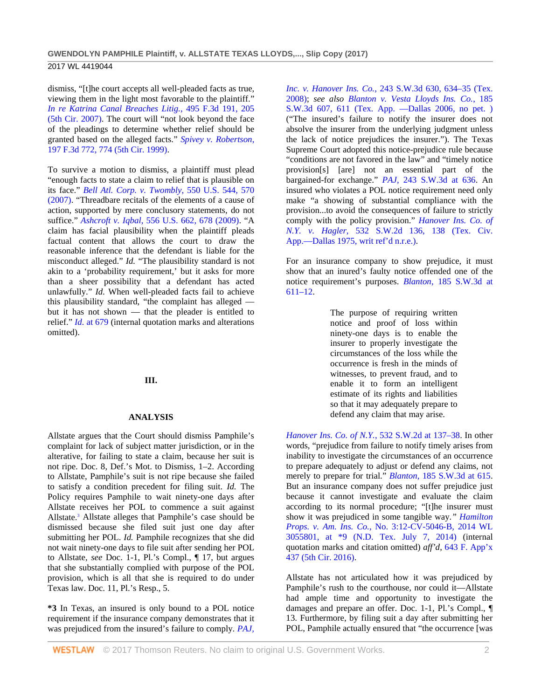2017 WL 4419044

dismiss, "[t]he court accepts all well-pleaded facts as true, viewing them in the light most favorable to the plaintiff." *[In re Katrina Canal Breaches Litig.](http://www.westlaw.com/Link/Document/FullText?findType=Y&serNum=2012832002&pubNum=0000506&originatingDoc=I428e60b0aa6711e7a94fe1d3bccdca84&refType=RP&fi=co_pp_sp_506_205&originationContext=document&vr=3.0&rs=cblt1.0&transitionType=DocumentItem&contextData=(sc.UserEnteredCitation)#co_pp_sp_506_205)*, 495 F.3d 191, 205 [\(5th Cir. 2007\).](http://www.westlaw.com/Link/Document/FullText?findType=Y&serNum=2012832002&pubNum=0000506&originatingDoc=I428e60b0aa6711e7a94fe1d3bccdca84&refType=RP&fi=co_pp_sp_506_205&originationContext=document&vr=3.0&rs=cblt1.0&transitionType=DocumentItem&contextData=(sc.UserEnteredCitation)#co_pp_sp_506_205) The court will "not look beyond the face of the pleadings to determine whether relief should be granted based on the alleged facts." *[Spivey v. Robertson](http://www.westlaw.com/Link/Document/FullText?findType=Y&serNum=1999268701&pubNum=0000506&originatingDoc=I428e60b0aa6711e7a94fe1d3bccdca84&refType=RP&fi=co_pp_sp_506_774&originationContext=document&vr=3.0&rs=cblt1.0&transitionType=DocumentItem&contextData=(sc.UserEnteredCitation)#co_pp_sp_506_774)*, [197 F.3d 772, 774 \(5th Cir. 1999\).](http://www.westlaw.com/Link/Document/FullText?findType=Y&serNum=1999268701&pubNum=0000506&originatingDoc=I428e60b0aa6711e7a94fe1d3bccdca84&refType=RP&fi=co_pp_sp_506_774&originationContext=document&vr=3.0&rs=cblt1.0&transitionType=DocumentItem&contextData=(sc.UserEnteredCitation)#co_pp_sp_506_774)

To survive a motion to dismiss, a plaintiff must plead "enough facts to state a claim to relief that is plausible on its face." *[Bell Atl. Corp. v. Twombly](http://www.westlaw.com/Link/Document/FullText?findType=Y&serNum=2012293296&pubNum=0000780&originatingDoc=I428e60b0aa6711e7a94fe1d3bccdca84&refType=RP&fi=co_pp_sp_780_570&originationContext=document&vr=3.0&rs=cblt1.0&transitionType=DocumentItem&contextData=(sc.UserEnteredCitation)#co_pp_sp_780_570)*, 550 U.S. 544, 570 [\(2007\).](http://www.westlaw.com/Link/Document/FullText?findType=Y&serNum=2012293296&pubNum=0000780&originatingDoc=I428e60b0aa6711e7a94fe1d3bccdca84&refType=RP&fi=co_pp_sp_780_570&originationContext=document&vr=3.0&rs=cblt1.0&transitionType=DocumentItem&contextData=(sc.UserEnteredCitation)#co_pp_sp_780_570) "Threadbare recitals of the elements of a cause of action, supported by mere conclusory statements, do not suffice." *Ashcroft v. Iqbal*[, 556 U.S. 662, 678 \(2009\).](http://www.westlaw.com/Link/Document/FullText?findType=Y&serNum=2018848474&pubNum=0000780&originatingDoc=I428e60b0aa6711e7a94fe1d3bccdca84&refType=RP&fi=co_pp_sp_780_678&originationContext=document&vr=3.0&rs=cblt1.0&transitionType=DocumentItem&contextData=(sc.UserEnteredCitation)#co_pp_sp_780_678) "A claim has facial plausibility when the plaintiff pleads factual content that allows the court to draw the reasonable inference that the defendant is liable for the misconduct alleged." *Id.* "The plausibility standard is not akin to a 'probability requirement,' but it asks for more than a sheer possibility that a defendant has acted unlawfully." *Id.* When well-pleaded facts fail to achieve this plausibility standard, "the complaint has alleged but it has not shown — that the pleader is entitled to relief." *Id.* [at 679](http://www.westlaw.com/Link/Document/FullText?findType=Y&serNum=2018848474&pubNum=0000780&originatingDoc=I428e60b0aa6711e7a94fe1d3bccdca84&refType=RP&fi=co_pp_sp_780_679&originationContext=document&vr=3.0&rs=cblt1.0&transitionType=DocumentItem&contextData=(sc.UserEnteredCitation)#co_pp_sp_780_679) (internal quotation marks and alterations omitted).

# **III.**

### **ANALYSIS**

Allstate argues that the Court should dismiss Pamphile's complaint for lack of subject matter jurisdiction, or in the alterative, for failing to state a claim, because her suit is not ripe. Doc. 8, Def.'s Mot. to Dismiss, 1–2. According to Allstate, Pamphile's suit is not ripe because she failed to satisfy a condition precedent for filing suit. *Id.* The Policy requires Pamphile to wait ninety-one days after Allstate receives her POL to commence a suit against Allstate.3 Allstate alleges that Pamphile's case should be dismissed because she filed suit just one day after submitting her POL. *Id.* Pamphile recognizes that she did not wait ninety-one days to file suit after sending her POL to Allstate, *see* Doc. 1-1, Pl.'s Compl., ¶ 17, but argues that she substantially complied with purpose of the POL provision, which is all that she is required to do under Texas law. Doc. 11, Pl.'s Resp., 5.

**\*3** In Texas, an insured is only bound to a POL notice requirement if the insurance company demonstrates that it was prejudiced from the insured's failure to comply. *[PAJ,](http://www.westlaw.com/Link/Document/FullText?findType=Y&serNum=2014700704&pubNum=0004644&originatingDoc=I428e60b0aa6711e7a94fe1d3bccdca84&refType=RP&fi=co_pp_sp_4644_634&originationContext=document&vr=3.0&rs=cblt1.0&transitionType=DocumentItem&contextData=(sc.UserEnteredCitation)#co_pp_sp_4644_634)* 

*Inc. v. Hanover Ins. Co.*[, 243 S.W.3d 630, 634–35 \(Tex.](http://www.westlaw.com/Link/Document/FullText?findType=Y&serNum=2014700704&pubNum=0004644&originatingDoc=I428e60b0aa6711e7a94fe1d3bccdca84&refType=RP&fi=co_pp_sp_4644_634&originationContext=document&vr=3.0&rs=cblt1.0&transitionType=DocumentItem&contextData=(sc.UserEnteredCitation)#co_pp_sp_4644_634)  [2008\);](http://www.westlaw.com/Link/Document/FullText?findType=Y&serNum=2014700704&pubNum=0004644&originatingDoc=I428e60b0aa6711e7a94fe1d3bccdca84&refType=RP&fi=co_pp_sp_4644_634&originationContext=document&vr=3.0&rs=cblt1.0&transitionType=DocumentItem&contextData=(sc.UserEnteredCitation)#co_pp_sp_4644_634) *see also [Blanton v. Vesta Lloyds Ins. Co.](http://www.westlaw.com/Link/Document/FullText?findType=Y&serNum=2008634393&pubNum=0004644&originatingDoc=I428e60b0aa6711e7a94fe1d3bccdca84&refType=RP&fi=co_pp_sp_4644_611&originationContext=document&vr=3.0&rs=cblt1.0&transitionType=DocumentItem&contextData=(sc.UserEnteredCitation)#co_pp_sp_4644_611)*, 185 [S.W.3d 607, 611 \(Tex. App. —Dallas 2006, no pet. \)](http://www.westlaw.com/Link/Document/FullText?findType=Y&serNum=2008634393&pubNum=0004644&originatingDoc=I428e60b0aa6711e7a94fe1d3bccdca84&refType=RP&fi=co_pp_sp_4644_611&originationContext=document&vr=3.0&rs=cblt1.0&transitionType=DocumentItem&contextData=(sc.UserEnteredCitation)#co_pp_sp_4644_611) ("The insured's failure to notify the insurer does not absolve the insurer from the underlying judgment unless the lack of notice prejudices the insurer."). The Texas Supreme Court adopted this notice-prejudice rule because "conditions are not favored in the law" and "timely notice provision[s] [are] not an essential part of the bargained-for exchange." *PAJ*[, 243 S.W.3d at 636.](http://www.westlaw.com/Link/Document/FullText?findType=Y&serNum=2014700704&pubNum=0004644&originatingDoc=I428e60b0aa6711e7a94fe1d3bccdca84&refType=RP&fi=co_pp_sp_4644_636&originationContext=document&vr=3.0&rs=cblt1.0&transitionType=DocumentItem&contextData=(sc.UserEnteredCitation)#co_pp_sp_4644_636) An insured who violates a POL notice requirement need only make "a showing of substantial compliance with the provision...to avoid the consequences of failure to strictly comply with the policy provision." *[Hanover Ins. Co. of](http://www.westlaw.com/Link/Document/FullText?findType=Y&serNum=1975136059&pubNum=0000713&originatingDoc=I428e60b0aa6711e7a94fe1d3bccdca84&refType=RP&fi=co_pp_sp_713_138&originationContext=document&vr=3.0&rs=cblt1.0&transitionType=DocumentItem&contextData=(sc.UserEnteredCitation)#co_pp_sp_713_138)  N.Y. v. Hagler*[, 532 S.W.2d 136, 138 \(Tex. Civ.](http://www.westlaw.com/Link/Document/FullText?findType=Y&serNum=1975136059&pubNum=0000713&originatingDoc=I428e60b0aa6711e7a94fe1d3bccdca84&refType=RP&fi=co_pp_sp_713_138&originationContext=document&vr=3.0&rs=cblt1.0&transitionType=DocumentItem&contextData=(sc.UserEnteredCitation)#co_pp_sp_713_138)  [App.—Dallas 1975, writ ref'd n.r.e.\).](http://www.westlaw.com/Link/Document/FullText?findType=Y&serNum=1975136059&pubNum=0000713&originatingDoc=I428e60b0aa6711e7a94fe1d3bccdca84&refType=RP&fi=co_pp_sp_713_138&originationContext=document&vr=3.0&rs=cblt1.0&transitionType=DocumentItem&contextData=(sc.UserEnteredCitation)#co_pp_sp_713_138)

For an insurance company to show prejudice, it must show that an inured's faulty notice offended one of the notice requirement's purposes. *Blanton*[, 185 S.W.3d at](http://www.westlaw.com/Link/Document/FullText?findType=Y&serNum=2008634393&pubNum=0004644&originatingDoc=I428e60b0aa6711e7a94fe1d3bccdca84&refType=RP&fi=co_pp_sp_4644_611&originationContext=document&vr=3.0&rs=cblt1.0&transitionType=DocumentItem&contextData=(sc.UserEnteredCitation)#co_pp_sp_4644_611)  [611–12.](http://www.westlaw.com/Link/Document/FullText?findType=Y&serNum=2008634393&pubNum=0004644&originatingDoc=I428e60b0aa6711e7a94fe1d3bccdca84&refType=RP&fi=co_pp_sp_4644_611&originationContext=document&vr=3.0&rs=cblt1.0&transitionType=DocumentItem&contextData=(sc.UserEnteredCitation)#co_pp_sp_4644_611)

> The purpose of requiring written notice and proof of loss within ninety-one days is to enable the insurer to properly investigate the circumstances of the loss while the occurrence is fresh in the minds of witnesses, to prevent fraud, and to enable it to form an intelligent estimate of its rights and liabilities so that it may adequately prepare to defend any claim that may arise.

*[Hanover Ins. Co. of N.Y.](http://www.westlaw.com/Link/Document/FullText?findType=Y&serNum=1975136059&pubNum=0000713&originatingDoc=I428e60b0aa6711e7a94fe1d3bccdca84&refType=RP&fi=co_pp_sp_713_137&originationContext=document&vr=3.0&rs=cblt1.0&transitionType=DocumentItem&contextData=(sc.UserEnteredCitation)#co_pp_sp_713_137)*, 532 S.W.2d at 137–38. In other words, "prejudice from failure to notify timely arises from inability to investigate the circumstances of an occurrence to prepare adequately to adjust or defend any claims, not merely to prepare for trial." *Blanton*[, 185 S.W.3d at 615.](http://www.westlaw.com/Link/Document/FullText?findType=Y&serNum=2008634393&pubNum=0004644&originatingDoc=I428e60b0aa6711e7a94fe1d3bccdca84&refType=RP&fi=co_pp_sp_4644_615&originationContext=document&vr=3.0&rs=cblt1.0&transitionType=DocumentItem&contextData=(sc.UserEnteredCitation)#co_pp_sp_4644_615)  But an insurance company does not suffer prejudice just because it cannot investigate and evaluate the claim according to its normal procedure; "[t]he insurer must show it was prejudiced in some tangible way.*" [Hamilton](http://www.westlaw.com/Link/Document/FullText?findType=Y&serNum=2033791333&pubNum=0000999&originatingDoc=I428e60b0aa6711e7a94fe1d3bccdca84&refType=RP&originationContext=document&vr=3.0&rs=cblt1.0&transitionType=DocumentItem&contextData=(sc.UserEnteredCitation))  Props. v. Am. Ins. Co.*[, No. 3:12-CV-5046-B, 2014 WL](http://www.westlaw.com/Link/Document/FullText?findType=Y&serNum=2033791333&pubNum=0000999&originatingDoc=I428e60b0aa6711e7a94fe1d3bccdca84&refType=RP&originationContext=document&vr=3.0&rs=cblt1.0&transitionType=DocumentItem&contextData=(sc.UserEnteredCitation))  [3055801, at \\*9 \(N.D. Tex. July 7, 2014\)](http://www.westlaw.com/Link/Document/FullText?findType=Y&serNum=2033791333&pubNum=0000999&originatingDoc=I428e60b0aa6711e7a94fe1d3bccdca84&refType=RP&originationContext=document&vr=3.0&rs=cblt1.0&transitionType=DocumentItem&contextData=(sc.UserEnteredCitation)) (internal quotation marks and citation omitted) *aff'd*, [643 F. App'x](http://www.westlaw.com/Link/Document/FullText?findType=Y&serNum=2038680967&pubNum=0006538&originatingDoc=I428e60b0aa6711e7a94fe1d3bccdca84&refType=RP&originationContext=document&vr=3.0&rs=cblt1.0&transitionType=DocumentItem&contextData=(sc.UserEnteredCitation))  [437 \(5th Cir. 2016\).](http://www.westlaw.com/Link/Document/FullText?findType=Y&serNum=2038680967&pubNum=0006538&originatingDoc=I428e60b0aa6711e7a94fe1d3bccdca84&refType=RP&originationContext=document&vr=3.0&rs=cblt1.0&transitionType=DocumentItem&contextData=(sc.UserEnteredCitation))

Allstate has not articulated how it was prejudiced by Pamphile's rush to the courthouse, nor could it—Allstate had ample time and opportunity to investigate the damages and prepare an offer. Doc. 1-1, Pl.'s Compl., ¶ 13. Furthermore, by filing suit a day after submitting her POL, Pamphile actually ensured that "the occurrence [was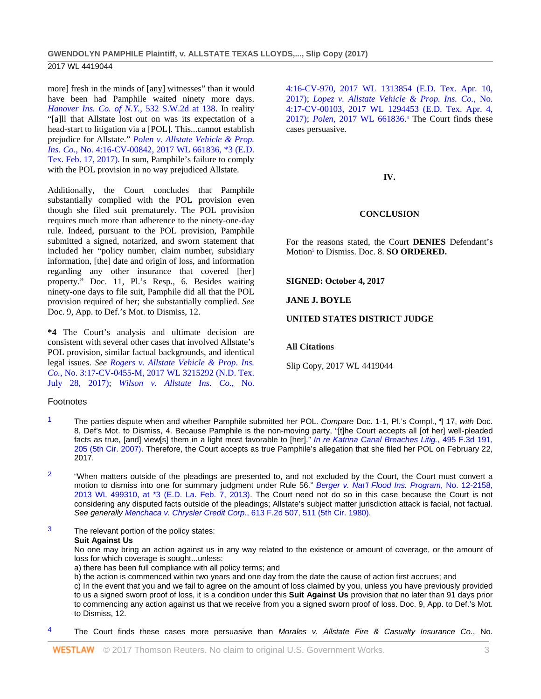# 2017 WL 4419044

more] fresh in the minds of [any] witnesses" than it would have been had Pamphile waited ninety more days. *[Hanover Ins. Co. of N.Y.](http://www.westlaw.com/Link/Document/FullText?findType=Y&serNum=1975136059&pubNum=0000713&originatingDoc=I428e60b0aa6711e7a94fe1d3bccdca84&refType=RP&fi=co_pp_sp_713_138&originationContext=document&vr=3.0&rs=cblt1.0&transitionType=DocumentItem&contextData=(sc.UserEnteredCitation)#co_pp_sp_713_138)*, 532 S.W.2d at 138. In reality "[a]ll that Allstate lost out on was its expectation of a head-start to litigation via a [POL]. This...cannot establish prejudice for Allstate." *[Polen v. Allstate Vehicle & Prop.](http://www.westlaw.com/Link/Document/FullText?findType=Y&serNum=2040977797&pubNum=0000999&originatingDoc=I428e60b0aa6711e7a94fe1d3bccdca84&refType=RP&originationContext=document&vr=3.0&rs=cblt1.0&transitionType=DocumentItem&contextData=(sc.UserEnteredCitation))  Ins. Co.*[, No. 4:16-CV-00842, 2017 WL 661836, \\*3 \(E.D.](http://www.westlaw.com/Link/Document/FullText?findType=Y&serNum=2040977797&pubNum=0000999&originatingDoc=I428e60b0aa6711e7a94fe1d3bccdca84&refType=RP&originationContext=document&vr=3.0&rs=cblt1.0&transitionType=DocumentItem&contextData=(sc.UserEnteredCitation))  [Tex. Feb. 17, 2017\).](http://www.westlaw.com/Link/Document/FullText?findType=Y&serNum=2040977797&pubNum=0000999&originatingDoc=I428e60b0aa6711e7a94fe1d3bccdca84&refType=RP&originationContext=document&vr=3.0&rs=cblt1.0&transitionType=DocumentItem&contextData=(sc.UserEnteredCitation)) In sum, Pamphile's failure to comply with the POL provision in no way prejudiced Allstate.

Additionally, the Court concludes that Pamphile substantially complied with the POL provision even though she filed suit prematurely. The POL provision requires much more than adherence to the ninety-one-day rule. Indeed, pursuant to the POL provision, Pamphile submitted a signed, notarized, and sworn statement that included her "policy number, claim number, subsidiary information, [the] date and origin of loss, and information regarding any other insurance that covered [her] property." Doc. 11, Pl.'s Resp., 6. Besides waiting ninety-one days to file suit, Pamphile did all that the POL provision required of her; she substantially complied. *See*  Doc. 9, App. to Def.'s Mot. to Dismiss, 12.

**\*4** The Court's analysis and ultimate decision are consistent with several other cases that involved Allstate's POL provision, similar factual backgrounds, and identical legal issues. *See Rogers [v. Allstate Vehicle & Prop. Ins.](http://www.westlaw.com/Link/Document/FullText?findType=Y&serNum=2042271696&pubNum=0000999&originatingDoc=I428e60b0aa6711e7a94fe1d3bccdca84&refType=RP&originationContext=document&vr=3.0&rs=cblt1.0&transitionType=DocumentItem&contextData=(sc.UserEnteredCitation))  Co.*[, No. 3:17-CV-0455-M, 2017 WL 3215292 \(N.D. Tex.](http://www.westlaw.com/Link/Document/FullText?findType=Y&serNum=2042271696&pubNum=0000999&originatingDoc=I428e60b0aa6711e7a94fe1d3bccdca84&refType=RP&originationContext=document&vr=3.0&rs=cblt1.0&transitionType=DocumentItem&contextData=(sc.UserEnteredCitation))  [July 28, 2017\);](http://www.westlaw.com/Link/Document/FullText?findType=Y&serNum=2042271696&pubNum=0000999&originatingDoc=I428e60b0aa6711e7a94fe1d3bccdca84&refType=RP&originationContext=document&vr=3.0&rs=cblt1.0&transitionType=DocumentItem&contextData=(sc.UserEnteredCitation)) *[Wilson v. Allstate Ins. Co.](http://www.westlaw.com/Link/Document/FullText?findType=Y&serNum=2041420341&pubNum=0000999&originatingDoc=I428e60b0aa6711e7a94fe1d3bccdca84&refType=RP&originationContext=document&vr=3.0&rs=cblt1.0&transitionType=DocumentItem&contextData=(sc.UserEnteredCitation))*, No.

# Footnotes

- 1 The parties dispute when and whether Pamphile submitted her POL. *Compare* Doc. 1-1, Pl.'s Compl., ¶ 17, *with* Doc. 8, Def's Mot. to Dismiss, 4. Because Pamphile is the non-moving party, "[t]he Court accepts all [of her] well-pleaded facts as true, [and] view[s] them in a light most favorable to [her]." *[In re Katrina Canal Breaches Litig.](http://www.westlaw.com/Link/Document/FullText?findType=Y&serNum=2012832002&pubNum=0000506&originatingDoc=I428e60b0aa6711e7a94fe1d3bccdca84&refType=RP&fi=co_pp_sp_506_205&originationContext=document&vr=3.0&rs=cblt1.0&transitionType=DocumentItem&contextData=(sc.UserEnteredCitation)#co_pp_sp_506_205)*, 495 F.3d 191, [205 \(5th Cir. 2007\).](http://www.westlaw.com/Link/Document/FullText?findType=Y&serNum=2012832002&pubNum=0000506&originatingDoc=I428e60b0aa6711e7a94fe1d3bccdca84&refType=RP&fi=co_pp_sp_506_205&originationContext=document&vr=3.0&rs=cblt1.0&transitionType=DocumentItem&contextData=(sc.UserEnteredCitation)#co_pp_sp_506_205) Therefore, the Court accepts as true Pamphile's allegation that she filed her POL on February 22, 2017.
- $2$  "When matters outside of the pleadings are presented to, and not excluded by the Court, the Court must convert a motion to dismiss into one for summary judgment under Rule 56." *[Berger v. Nat'l Flood Ins. Program](http://www.westlaw.com/Link/Document/FullText?findType=Y&serNum=2029836207&pubNum=0000999&originatingDoc=I428e60b0aa6711e7a94fe1d3bccdca84&refType=RP&originationContext=document&vr=3.0&rs=cblt1.0&transitionType=DocumentItem&contextData=(sc.UserEnteredCitation))*, No. 12-2158, [2013 WL 499310, at \\*3 \(E.D. La. Feb. 7, 2013\).](http://www.westlaw.com/Link/Document/FullText?findType=Y&serNum=2029836207&pubNum=0000999&originatingDoc=I428e60b0aa6711e7a94fe1d3bccdca84&refType=RP&originationContext=document&vr=3.0&rs=cblt1.0&transitionType=DocumentItem&contextData=(sc.UserEnteredCitation)) The Court need not do so in this case because the Court is not considering any disputed facts outside of the pleadings; Allstate's subject matter jurisdiction attack is facial, not factual. *See generally Menchaca v. Chrysler Credit Corp.*[, 613 F.2d 507, 511 \(5th Cir. 1980\).](http://www.westlaw.com/Link/Document/FullText?findType=Y&serNum=1980102180&pubNum=0000350&originatingDoc=I428e60b0aa6711e7a94fe1d3bccdca84&refType=RP&fi=co_pp_sp_350_511&originationContext=document&vr=3.0&rs=cblt1.0&transitionType=DocumentItem&contextData=(sc.UserEnteredCitation)#co_pp_sp_350_511)
- 3 The relevant portion of the policy states: **Suit Against Us**

No one may bring an action against us in any way related to the existence or amount of coverage, or the amount of loss for which coverage is sought...unless:

- a) there has been full compliance with all policy terms; and
- b) the action is commenced within two years and one day from the date the cause of action first accrues; and

c) In the event that you and we fail to agree on the amount of loss claimed by you, unless you have previously provided to us a signed sworn proof of loss, it is a condition under this **Suit Against Us** provision that no later than 91 days prior to commencing any action against us that we receive from you a signed sworn proof of loss. Doc. 9, App. to Def.'s Mot. to Dismiss, 12.

4 The Court finds these cases more persuasive than *Morales v. Allstate Fire & Casualty Insurance Co.*, No.

[4:16-CV-970, 2017 WL 1313854](http://www.westlaw.com/Link/Document/FullText?findType=Y&serNum=2041420341&pubNum=0000999&originatingDoc=I428e60b0aa6711e7a94fe1d3bccdca84&refType=RP&originationContext=document&vr=3.0&rs=cblt1.0&transitionType=DocumentItem&contextData=(sc.UserEnteredCitation)) (E.D. Tex. Apr. 10, [2017\);](http://www.westlaw.com/Link/Document/FullText?findType=Y&serNum=2041420341&pubNum=0000999&originatingDoc=I428e60b0aa6711e7a94fe1d3bccdca84&refType=RP&originationContext=document&vr=3.0&rs=cblt1.0&transitionType=DocumentItem&contextData=(sc.UserEnteredCitation)) *[Lopez v. Allstate Vehicle & Prop. Ins. Co.](http://www.westlaw.com/Link/Document/FullText?findType=Y&serNum=2041407635&pubNum=0000999&originatingDoc=I428e60b0aa6711e7a94fe1d3bccdca84&refType=RP&originationContext=document&vr=3.0&rs=cblt1.0&transitionType=DocumentItem&contextData=(sc.UserEnteredCitation))*, No. [4:17-CV-00103, 2017 WL 1294453 \(E.D. Tex. Apr. 4,](http://www.westlaw.com/Link/Document/FullText?findType=Y&serNum=2041407635&pubNum=0000999&originatingDoc=I428e60b0aa6711e7a94fe1d3bccdca84&refType=RP&originationContext=document&vr=3.0&rs=cblt1.0&transitionType=DocumentItem&contextData=(sc.UserEnteredCitation))  [2017\);](http://www.westlaw.com/Link/Document/FullText?findType=Y&serNum=2041407635&pubNum=0000999&originatingDoc=I428e60b0aa6711e7a94fe1d3bccdca84&refType=RP&originationContext=document&vr=3.0&rs=cblt1.0&transitionType=DocumentItem&contextData=(sc.UserEnteredCitation)) *Polen*[, 2017 WL 661836.](http://www.westlaw.com/Link/Document/FullText?findType=Y&serNum=2040977797&pubNum=0000999&originatingDoc=I428e60b0aa6711e7a94fe1d3bccdca84&refType=RP&originationContext=document&vr=3.0&rs=cblt1.0&transitionType=DocumentItem&contextData=(sc.UserEnteredCitation)) <sup>4</sup> The Court finds these cases persuasive.

# **IV.**

# **CONCLUSION**

For the reasons stated, the Court **DENIES** Defendant's Motion<sup>5</sup> to Dismiss. Doc. 8. **SO ORDERED.** 

**SIGNED: October 4, 2017**

**JANE J. BOYLE**

# **UNITED STATES DISTRICT JUDGE**

## **All Citations**

Slip Copy, 2017 WL 4419044